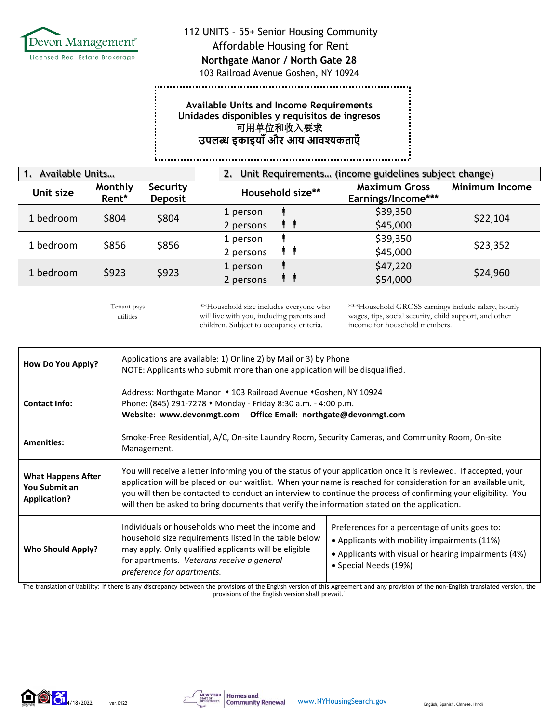

### 112 UNITS – 55+ Senior Housing Community

#### Affordable Housing for Rent

## **Northgate Manor / North Gate 28**

103 Railroad Avenue Goshen, NY 10924

## **Available Units and Income Requirements Unidades disponibles y requisitos de ingresos** 可用单位和收入要求 **उपलब्ध इकाइयााँऔर आय आवश्यकताएाँ**

| Available Units<br>$\mathbf{1}$ . |                  |                            | Unit Requirements (income guidelines subject change)<br>2. |                  |                                            |                       |
|-----------------------------------|------------------|----------------------------|------------------------------------------------------------|------------------|--------------------------------------------|-----------------------|
| Unit size                         | Monthly<br>Rent* | Security<br><b>Deposit</b> |                                                            | Household size** | <b>Maximum Gross</b><br>Earnings/Income*** | <b>Minimum Income</b> |
| 1 bedroom                         | \$804            | \$804                      | 1 person<br>2 persons                                      |                  | \$39,350<br>\$45,000                       | \$22,104              |
| 1 bedroom                         | \$856            | \$856                      | 1 person<br>2 persons                                      | T T              | \$39,350<br>\$45,000                       | \$23,352              |
| 1 bedroom                         | \$923            | \$923                      | 1 person<br>2 persons                                      | . .              | \$47,220<br>\$54,000                       | \$24,960              |

Tenant pays utilities

**The company's company's company's company's company's company's company's company's company's company's company's company's company's company's company's company's company's company's company's company's company's company** 

ĩ,

\*\*Household size includes everyone who will live with you, including parents and children. Subject to occupancy criteria.

\*\*\*Household GROSS earnings include salary, hourly wages, tips, social security, child support, and other income for household members.

| How Do You Apply?                                                 | Applications are available: 1) Online 2) by Mail or 3) by Phone<br>NOTE: Applicants who submit more than one application will be disqualified.                                                                                                                                                                                                                                                                                                       |                                                                                                                                                                                 |  |
|-------------------------------------------------------------------|------------------------------------------------------------------------------------------------------------------------------------------------------------------------------------------------------------------------------------------------------------------------------------------------------------------------------------------------------------------------------------------------------------------------------------------------------|---------------------------------------------------------------------------------------------------------------------------------------------------------------------------------|--|
| <b>Contact Info:</b>                                              | Address: Northgate Manor • 103 Railroad Avenue • Goshen, NY 10924<br>Phone: (845) 291-7278 • Monday - Friday 8:30 a.m. - 4:00 p.m.                                                                                                                                                                                                                                                                                                                   |                                                                                                                                                                                 |  |
| <b>Amenities:</b>                                                 | Smoke-Free Residential, A/C, On-site Laundry Room, Security Cameras, and Community Room, On-site<br>Management.                                                                                                                                                                                                                                                                                                                                      |                                                                                                                                                                                 |  |
| <b>What Happens After</b><br>You Submit an<br><b>Application?</b> | You will receive a letter informing you of the status of your application once it is reviewed. If accepted, your<br>application will be placed on our waitlist. When your name is reached for consideration for an available unit,<br>you will then be contacted to conduct an interview to continue the process of confirming your eligibility. You<br>will then be asked to bring documents that verify the information stated on the application. |                                                                                                                                                                                 |  |
| <b>Who Should Apply?</b>                                          | Individuals or households who meet the income and<br>household size requirements listed in the table below<br>may apply. Only qualified applicants will be eligible<br>for apartments. Veterans receive a general<br>preference for apartments.                                                                                                                                                                                                      | Preferences for a percentage of units goes to:<br>• Applicants with mobility impairments (11%)<br>• Applicants with visual or hearing impairments (4%)<br>• Special Needs (19%) |  |

The translation of liability: If there is any discrepancy between the provisions of the English version of this Agreement and any provision of the non-English translated version, the provisions of the English version shall prevail.<sup>1</sup>